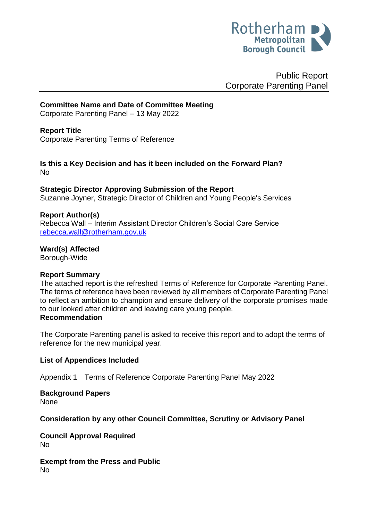

Public Report Corporate Parenting Panel

**Committee Name and Date of Committee Meeting**

Corporate Parenting Panel – 13 May 2022

#### **Report Title**

Corporate Parenting Terms of Reference

**Is this a Key Decision and has it been included on the Forward Plan?**  No

#### **Strategic Director Approving Submission of the Report**

Suzanne Joyner, Strategic Director of Children and Young People's Services

#### **Report Author(s)**

Rebecca Wall – Interim Assistant Director Children's Social Care Service [rebecca.wall@rotherham.gov.uk](mailto:rebecca.wall@rotherham.gov.uk)

**Ward(s) Affected**

Borough-Wide

#### **Report Summary**

The attached report is the refreshed Terms of Reference for Corporate Parenting Panel. The terms of reference have been reviewed by all members of Corporate Parenting Panel to reflect an ambition to champion and ensure delivery of the corporate promises made to our looked after children and leaving care young people. **Recommendation**

The Corporate Parenting panel is asked to receive this report and to adopt the terms of reference for the new municipal year.

#### **List of Appendices Included**

Appendix 1 Terms of Reference Corporate Parenting Panel May 2022

# **Background Papers**

None

#### **Consideration by any other Council Committee, Scrutiny or Advisory Panel**

**Council Approval Required** No

**Exempt from the Press and Public** No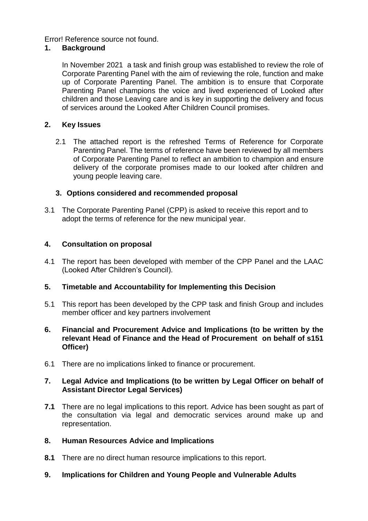Error! Reference source not found.

# **1. Background**

In November 2021 a task and finish group was established to review the role of Corporate Parenting Panel with the aim of reviewing the role, function and make up of Corporate Parenting Panel. The ambition is to ensure that Corporate Parenting Panel champions the voice and lived experienced of Looked after children and those Leaving care and is key in supporting the delivery and focus of services around the Looked After Children Council promises.

# **2. Key Issues**

2.1 The attached report is the refreshed Terms of Reference for Corporate Parenting Panel. The terms of reference have been reviewed by all members of Corporate Parenting Panel to reflect an ambition to champion and ensure delivery of the corporate promises made to our looked after children and young people leaving care.

# **3. Options considered and recommended proposal**

3.1 The Corporate Parenting Panel (CPP) is asked to receive this report and to adopt the terms of reference for the new municipal year.

# **4. Consultation on proposal**

4.1 The report has been developed with member of the CPP Panel and the LAAC (Looked After Children's Council).

# **5. Timetable and Accountability for Implementing this Decision**

- 5.1 This report has been developed by the CPP task and finish Group and includes member officer and key partners involvement
- **6. Financial and Procurement Advice and Implications (to be written by the relevant Head of Finance and the Head of Procurement on behalf of s151 Officer)**
- 6.1 There are no implications linked to finance or procurement.

#### **7. Legal Advice and Implications (to be written by Legal Officer on behalf of Assistant Director Legal Services)**

- **7.1** There are no legal implications to this report. Advice has been sought as part of the consultation via legal and democratic services around make up and representation.
- **8. Human Resources Advice and Implications**
- **8.1** There are no direct human resource implications to this report.
- **9. Implications for Children and Young People and Vulnerable Adults**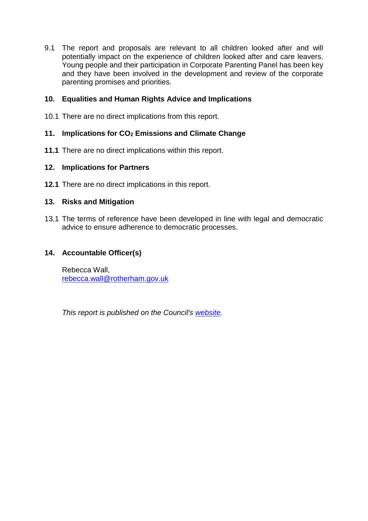9.1 The report and proposals are relevant to all children looked after and will potentially impact on the experience of children looked after and care leavers. Young people and their participation in Corporate Parenting Panel has been key and they have been involved in the development and review of the corporate parenting promises and priorities.

# **10. Equalities and Human Rights Advice and Implications**

10.1 There are no direct implications from this report.

#### **11. Implications for CO<sup>2</sup> Emissions and Climate Change**

**11.1** There are no direct implications within this report.

#### **12. Implications for Partners**

**12.1** There are no direct implications in this report.

#### **13. Risks and Mitigation**

13.1 The terms of reference have been developed in line with legal and democratic advice to ensure adherence to democratic processes.

#### **14. Accountable Officer(s)**

Rebecca Wall, [rebecca.wall@rotherham.gov.uk](mailto:rebecca.wall@rotherham.gov.uk)

*This report is published on the Council's [website.](https://moderngov.rotherham.gov.uk/ieDocHome.aspx?Categories=)*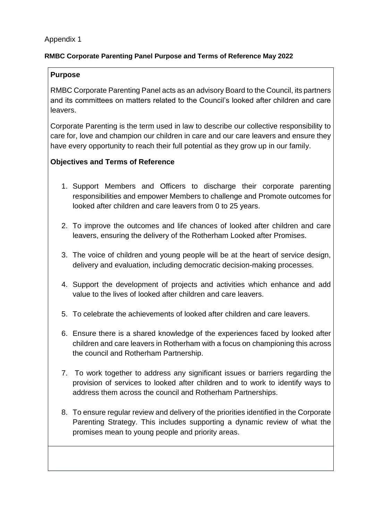# Appendix 1

# **RMBC Corporate Parenting Panel Purpose and Terms of Reference May 2022**

# **Purpose**

RMBC Corporate Parenting Panel acts as an advisory Board to the Council, its partners and its committees on matters related to the Council's looked after children and care leavers.

Corporate Parenting is the term used in law to describe our collective responsibility to care for, love and champion our children in care and our care leavers and ensure they have every opportunity to reach their full potential as they grow up in our family.

#### **Objectives and Terms of Reference**

- 1. Support Members and Officers to discharge their corporate parenting responsibilities and empower Members to challenge and Promote outcomes for looked after children and care leavers from 0 to 25 years.
- 2. To improve the outcomes and life chances of looked after children and care leavers, ensuring the delivery of the Rotherham Looked after Promises.
- 3. The voice of children and young people will be at the heart of service design, delivery and evaluation, including democratic decision-making processes.
- 4. Support the development of projects and activities which enhance and add value to the lives of looked after children and care leavers.
- 5. To celebrate the achievements of looked after children and care leavers.
- 6. Ensure there is a shared knowledge of the experiences faced by looked after children and care leavers in Rotherham with a focus on championing this across the council and Rotherham Partnership.
- 7. To work together to address any significant issues or barriers regarding the provision of services to looked after children and to work to identify ways to address them across the council and Rotherham Partnerships.
- 8. To ensure regular review and delivery of the priorities identified in the Corporate Parenting Strategy. This includes supporting a dynamic review of what the promises mean to young people and priority areas.